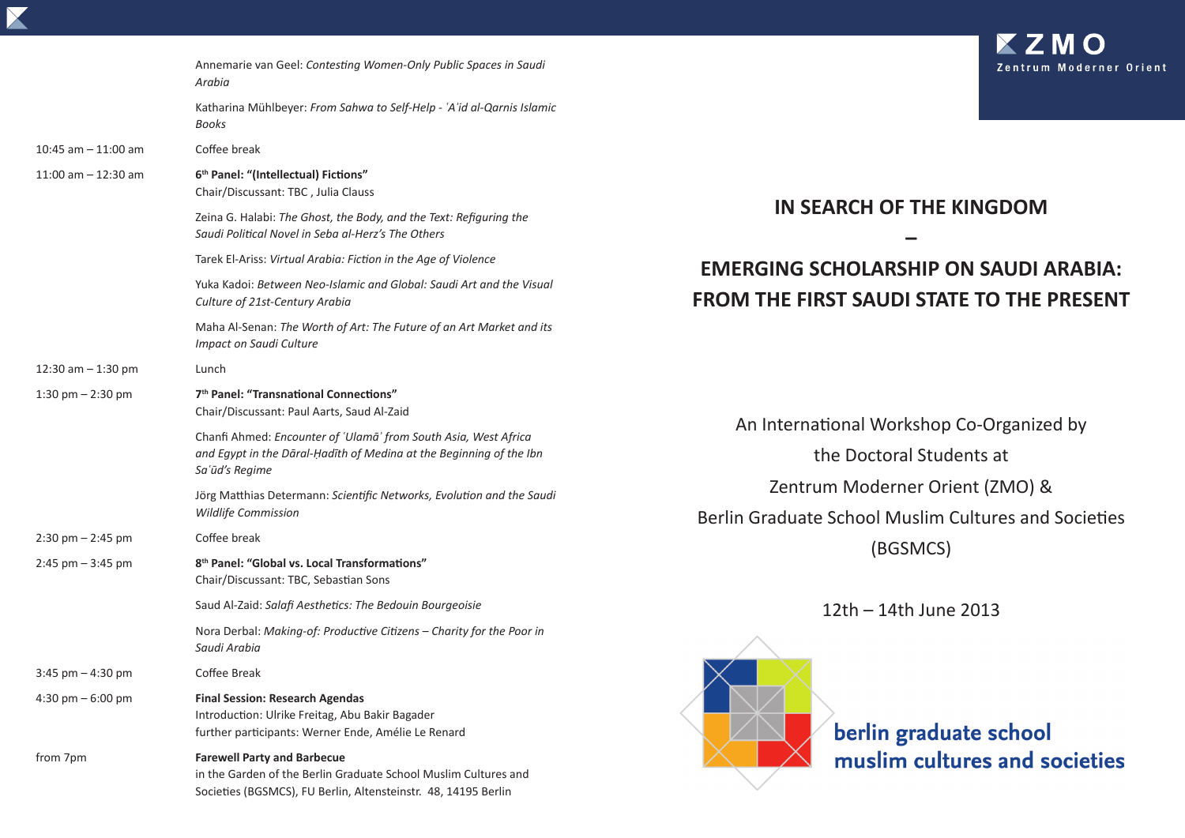|                                     | Annemarie van Geel: Contesting Women-Only Public Spaces in Saudi<br>Arabia                                                                                              |                                                                                         |
|-------------------------------------|-------------------------------------------------------------------------------------------------------------------------------------------------------------------------|-----------------------------------------------------------------------------------------|
|                                     | Katharina Mühlbeyer: From Sahwa to Self-Help - 'A'id al-Qarnis Islamic<br>Books                                                                                         |                                                                                         |
| $10:45$ am $-11:00$ am              | Coffee break                                                                                                                                                            |                                                                                         |
| 11:00 am $-$ 12:30 am               | 6th Panel: "(Intellectual) Fictions"<br>Chair/Discussant: TBC, Julia Clauss                                                                                             | <b>IN SEARCH OF 1</b><br><b>EMERGING SCHOLARSH</b>                                      |
|                                     | Zeina G. Halabi: The Ghost, the Body, and the Text: Refiguring the<br>Saudi Political Novel in Seba al-Herz's The Others                                                |                                                                                         |
|                                     | Tarek El-Ariss: Virtual Arabia: Fiction in the Age of Violence                                                                                                          |                                                                                         |
|                                     | Yuka Kadoi: Between Neo-Islamic and Global: Saudi Art and the Visual<br>Culture of 21st-Century Arabia                                                                  | <b>FROM THE FIRST SAUDI</b>                                                             |
|                                     | Maha Al-Senan: The Worth of Art: The Future of an Art Market and its<br>Impact on Saudi Culture                                                                         |                                                                                         |
| 12:30 am $-$ 1:30 pm                | Lunch                                                                                                                                                                   |                                                                                         |
| 1:30 pm $-$ 2:30 pm                 | 7 <sup>th</sup> Panel: "Transnational Connections"<br>Chair/Discussant: Paul Aarts, Saud Al-Zaid                                                                        |                                                                                         |
|                                     | Chanfi Ahmed: Encounter of 'Ulamā' from South Asia, West Africa<br>and Egypt in the Dāral-Ḥadīth of Medina at the Beginning of the Ibn<br>Sa'ūd's Regime                | An International Works<br>the Doctoral<br>Zentrum Moderne<br>Berlin Graduate School Mus |
|                                     | Jörg Matthias Determann: Scientific Networks, Evolution and the Saudi<br><b>Wildlife Commission</b>                                                                     |                                                                                         |
| $2:30 \text{ pm} - 2:45 \text{ pm}$ | Coffee break                                                                                                                                                            |                                                                                         |
| $2:45$ pm $-3:45$ pm                | 8 <sup>th</sup> Panel: "Global vs. Local Transformations"<br>Chair/Discussant: TBC, Sebastian Sons                                                                      | (BGSN                                                                                   |
|                                     | Saud Al-Zaid: Salafi Aesthetics: The Bedouin Bourgeoisie                                                                                                                | $12th - 14th$                                                                           |
|                                     | Nora Derbal: Making-of: Productive Citizens - Charity for the Poor in<br>Saudi Arabia                                                                                   |                                                                                         |
| $3:45$ pm $- 4:30$ pm               | Coffee Break                                                                                                                                                            |                                                                                         |
| 4:30 pm $-6:00$ pm                  | <b>Final Session: Research Agendas</b><br>Introduction: Ulrike Freitag, Abu Bakir Bagader<br>further participants: Werner Ende, Amélie Le Renard                        | berlin gr                                                                               |
| from 7pm                            | <b>Farewell Party and Barbecue</b><br>in the Garden of the Berlin Graduate School Muslim Cultures and<br>Societies (BGSMCS), FU Berlin, Altensteinstr. 48, 14195 Berlin | muslim                                                                                  |

## **THE KINGDOM**

## **HIP ON SAUDI ARABIA: STATE TO THE PRESENT**

shop Co-Organized by Students at er Orient (ZMO) & slim Cultures and Societies MCS)

June 2013

raduate school cultures and societies